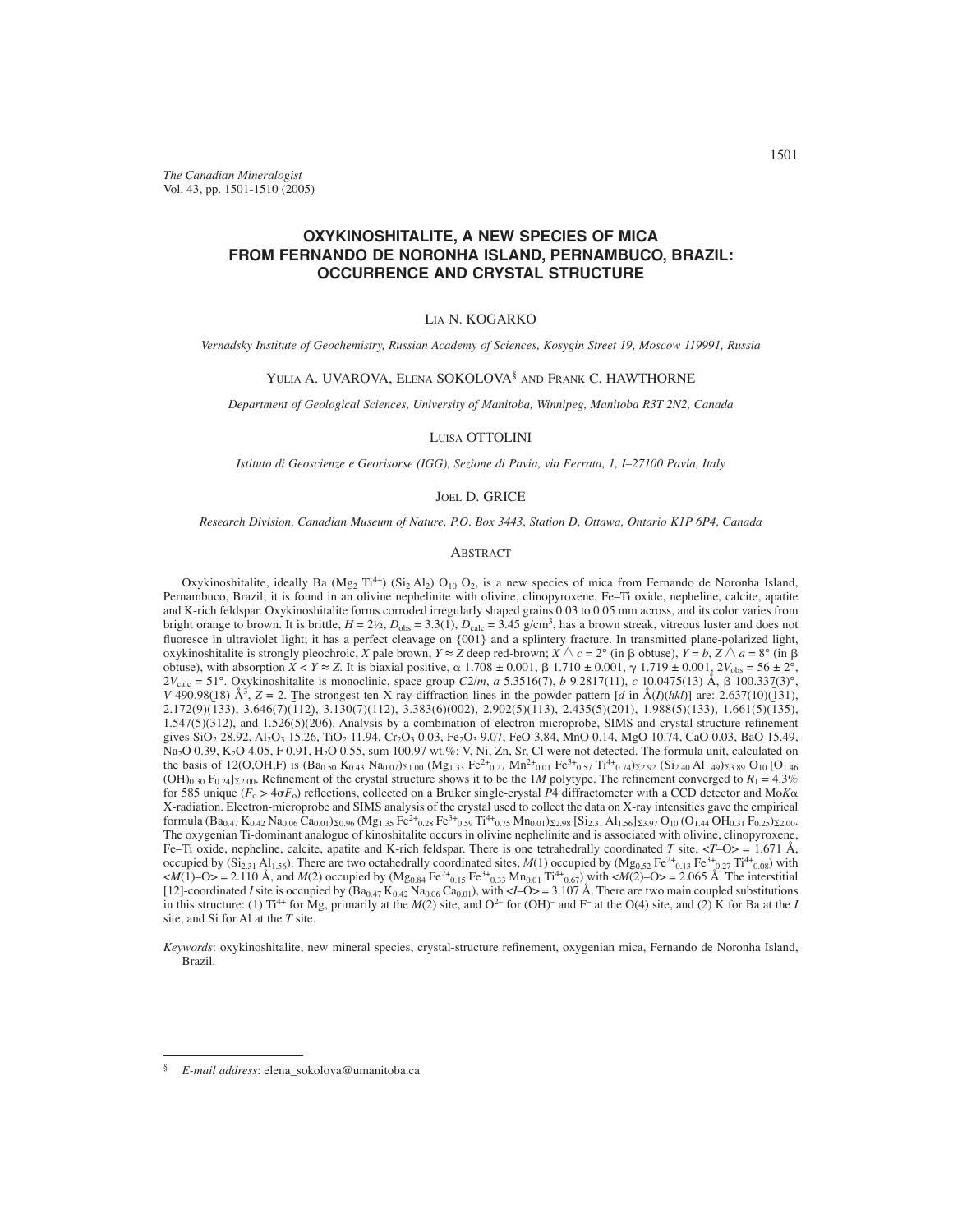*The Canadian Mineralogist* Vol. 43, pp. 1501-1510 (2005)

# **OXYKINOSHITALITE, A NEW SPECIES OF MICA FROM FERNANDO DE NORONHA ISLAND, PERNAMBUCO, BRAZIL: OCCURRENCE AND CRYSTAL STRUCTURE**

## LIA N. KOGARKO

*Vernadsky Institute of Geochemistry, Russian Academy of Sciences, Kosygin Street 19, Moscow 119991, Russia*

## YULIA A. UVAROVA, ELENA SOKOLOVA§ AND FRANK C. HAWTHORNE

*Department of Geological Sciences, University of Manitoba, Winnipeg, Manitoba R3T 2N2, Canada*

## LUISA OTTOLINI

*Istituto di Geoscienze e Georisorse (IGG), Sezione di Pavia, via Ferrata, 1, I–27100 Pavia, Italy*

## JOEL D. GRICE

*Research Division, Canadian Museum of Nature, P.O. Box 3443, Station D, Ottawa, Ontario K1P 6P4, Canada*

## ABSTRACT

Oxykinoshitalite, ideally Ba (Mg<sub>2</sub> Ti<sup>4+</sup>) (Si<sub>2</sub> Al<sub>2</sub>) O<sub>10</sub> O<sub>2</sub>, is a new species of mica from Fernando de Noronha Island, Pernambuco, Brazil; it is found in an olivine nephelinite with olivine, clinopyroxene, Fe–Ti oxide, nepheline, calcite, apatite and K-rich feldspar. Oxykinoshitalite forms corroded irregularly shaped grains 0.03 to 0.05 mm across, and its color varies from bright orange to brown. It is brittle,  $H = 2\frac{1}{2}$ ,  $D_{obs} = 3.3(1)$ ,  $D_{calc} = 3.45$  g/cm<sup>3</sup>, has a brown streak, vitreous luster and does not fluoresce in ultraviolet light; it has a perfect cleavage on  $\{001\}$  and a splintery fracture. In transmitted plane-polarized light, oxykinoshitalite is strongly pleochroic, *X* pale brown,  $Y \approx Z$  deep red-brown;  $X \wedge c = 2^{\circ}$  (in  $\beta$  obtuse),  $Y = b$ ,  $Z \wedge a = 8^{\circ}$  (in  $\beta$ obtuse), with absorption *X* < *Y* ≈ *Z*. It is biaxial positive, α 1.708 ± 0.001, β 1.710 ± 0.001, γ 1.719 ± 0.001,  $2V_{\text{obs}} = 56 \pm 2^{\circ}$ , 2*V*calc = 51°. Oxykinoshitalite is monoclinic, space group *C*2/*m*, *a* 5.3516(7), *b* 9.2817(11), *c* 10.0475(13) Å, 100.337(3)°, *V* 490.98(18)  $\hat{A}^3$ , *Z* = 2. The strongest ten X-ray-diffraction lines in the powder pattern  $\hat{a}$  in  $\hat{A}(I)(hk)$  are: 2.637(10)( $\hat{I}31$ ),  $2.172(9)(\overline{133}), 3.646(7)(\overline{112}), 3.130(7)(112), 3.383(6)(002), 2.902(5)(\overline{113}), 2.435(5)(201), 1.988(5)(133), 1.661(5)(\overline{135}),$  $1.547(5)(312)$ , and  $1.526(5)(206)$ . Analysis by a combination of electron microprobe, SIMS and crystal-structure refinement gives SiO<sub>2</sub> 28.92, Al<sub>2</sub>O<sub>3</sub> 15.26, TiO<sub>2</sub> 11.94, Cr<sub>2</sub>O<sub>3</sub> 0.03, Fe<sub>2</sub>O<sub>3</sub> 9.07, FeO 3.84, MnO 0.14, MgO 10.74, CaO 0.03, BaO 15.49,  $N_{\rm a2}$ O 0.39, K<sub>2</sub>O 4.05, F 0.91, H<sub>2</sub>O 0.55, sum 100.97 wt.%; V, Ni, Zn, Sr, Cl were not detected. The formula unit, calculated on the basis of 12(O,OH,F) is  $(Ba_{0.50} K_{0.43} N_{0.07})_{\Sigma1.00} (Mg_{1.33} Fe^{2+}_{0.27} Mn^{2+}_{0.01} Fe^{3+}_{0.57} Ti^{4+}_{0.74})_{\Sigma2.92} (Si_{2.40} Al_{1.49})_{\Sigma3.89} O_{10} [O_{1.46} O_{1.40} O_{1.40} C]$  $(OH)_{0.30}$  F<sub>0.24</sub> $|z_{2.00}$ . Refinement of the crystal structure shows it to be the 1*M* polytype. The refinement converged to  $R_1 = 4.3\%$ for 585 unique ( $F_o > 4\sigma F_o$ ) reflections, collected on a Bruker single-crystal P4 diffractometer with a CCD detector and Mo*K* $\alpha$ X-radiation. Electron-microprobe and SIMS analysis of the crystal used to collect the data on X-ray intensities gave the empirical formula  $(Ba_{0.47} K_{0.42} N a_{0.06} Ca_{0.01} )_{20.96} (Mg_{1.35} Fe^{2+}_{0.28} Fe^{3+}_{0.59} T_1^{4+}_{0.75} Mn_{0.01} )_{2.98} [Si_{2.31} Al_{1.56}]_{23.97} O_{10} (O_{1.44} O H_{0.31} F_{0.25})_{2.00}$ The oxygenian Ti-dominant analogue of kinoshitalite occurs in olivine nephelinite and is associated with olivine, clinopyroxene, Fe–Ti oxide, nepheline, calcite, apatite and K-rich feldspar. There is one tetrahedrally coordinated *T* site,  $\langle T-O \rangle = 1.671 \text{ Å}$ , occupied by  $(Si_{2,31} A1_{1.56})$ . There are two octahedrally coordinated sites,  $M(1)$  occupied by  $(Mg_{0.52} Fe^{2+}_{0.13} Fe^{3+}_{0.27} Ti^{4+}_{0.08})$  with  $\langle M(1) - O \rangle = 2.110 \text{ Å}$ , and  $M(2)$  occupied by  $(Mg_{0.84} \text{Fe}^{2+}_{0.15} \text{Fe}^{3+}_{0.33} \text{ Mn}_{0.01} \text{Ti}^{4+}_{0.67})$  with  $\langle M(2) - O \rangle = 2.065 \text{ Å}$ . The interstitial [12]-coordinated *I* site is occupied by  $(Ba_{0.47} K_{0.42} N a_{0.06} Ca_{0.01})$ , with  $\langle I-O \rangle = 3.107$  Å. There are two main coupled substitutions in this structure: (1)  $Ti^{4+}$  for Mg, primarily at the *M*(2) site, and  $O^{2-}$  for (OH)<sup>-</sup> and F<sup>-</sup> at the O(4) site, and (2) K for Ba at the *I* site, and Si for Al at the *T* site.

*Keywords*: oxykinoshitalite, new mineral species, crystal-structure refinement, oxygenian mica, Fernando de Noronha Island, Brazil.

<sup>§</sup> *E-mail address*: elena\_sokolova@umanitoba.ca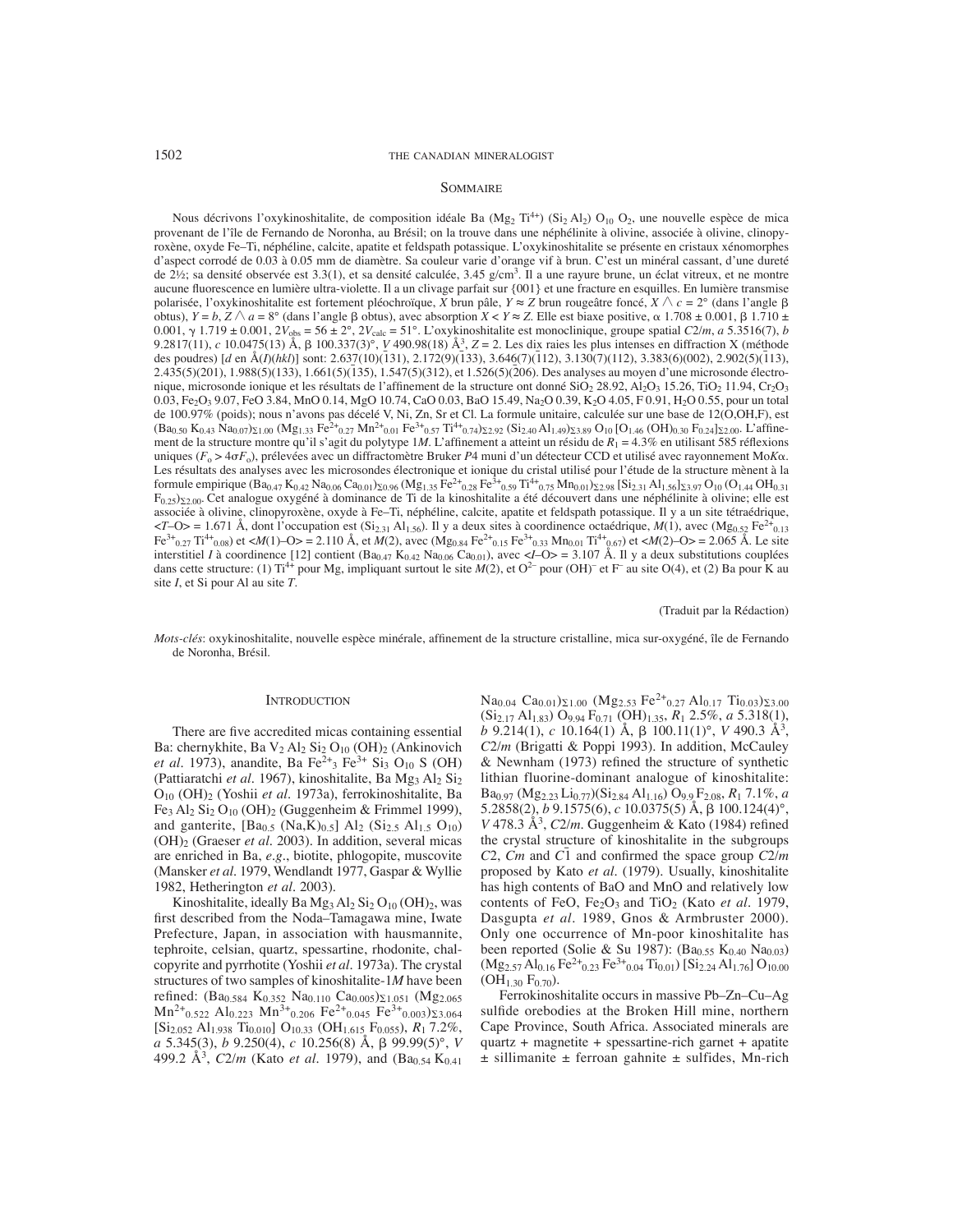## 1502 THE CANADIAN MINERALOGIST

## SOMMAIRE

Nous décrivons l'oxykinoshitalite, de composition idéale Ba (Mg<sub>2</sub> Ti<sup>4+</sup>) (Si<sub>2</sub> Al<sub>2</sub>) O<sub>10</sub> O<sub>2</sub>, une nouvelle espèce de mica provenant de l'île de Fernando de Noronha, au Brésil; on la trouve dans une néphélinite à olivine, associée à olivine, clinopyroxène, oxyde Fe–Ti, néphéline, calcite, apatite et feldspath potassique. L'oxykinoshitalite se présente en cristaux xénomorphes d'aspect corrodé de 0.03 à 0.05 mm de diamètre. Sa couleur varie d'orange vif à brun. C'est un minéral cassant, d'une dureté de 2½; sa densité observée est 3.3(1), et sa densité calculée, 3.45 g/cm<sup>3</sup>. Il a une rayure brune, un éclat vitreux, et ne montre aucune fluorescence en lumière ultra-violette. Il a un clivage parfait sur {001} et une fracture en esquilles. En lumière transmise polarisée, l'oxykinoshitalite est fortement pléochroïque, *X* brun pâle, *Y* ≈ *Z* brun rougeâtre foncé, *X c* = 2° (dans l'angle obtus), *Y* = *b*, *Z* ∧ *a* = 8° (dans l'angle β obtus), avec absorption *X* < *Y* ≈ *Z*. Elle est biaxe positive, α 1.708 ± 0.001, β 1.710 ± 0.001,  $\gamma$  1.719  $\pm$  0.001, 2*V*<sub>obs</sub> = 56  $\pm$  2°, 2*V*<sub>calc</sub> = 51°. L'oxykinoshitalite est monoclinique, groupe spatial *C*2/*m*, *a* 5.3516(7), *b* 9.2817(11), *c* 10.0475(13) Å, 100.337(3)°, *V* 490.98(18) Å3, *Z* = 2. Les dix raies les plus intenses en diffraction X (méthode des poudres) [*d* en Å(*I*)(*hkl*)] sont: 2.637(10)(131), 2.172(9)(133), 3.646(7)(112), 3.130(7)(112), 3.383(6)(002), 2.902(5)(113), 2.435(5)(201), 1.988(5)(133), 1.661(5)(135), 1.547(5)(312), et 1.526(5)(206). Des analyses au moyen d'une microsonde électronique, microsonde ionique et les résultats de l'affinement de la structure ont donné SiO<sub>2</sub> 28.92, Al<sub>2</sub>O<sub>3</sub> 15.26, TiO<sub>2</sub> 11.94, Cr<sub>2</sub>O<sub>3</sub> 0.03, Fe2O3 9.07, FeO 3.84, MnO 0.14, MgO 10.74, CaO 0.03, BaO 15.49, Na2O 0.39, K2O 4.05, F 0.91, H2O 0.55, pour un total de 100.97% (poids); nous n'avons pas décelé V, Ni, Zn, Sr et Cl. La formule unitaire, calculée sur une base de 12(O,OH,F), est  $(Ba_{0.50} K_{0.43} N_{0.07})_{\Sigma1.00} (Mg_{1.33} Fe^{2+}_{0.27} Mn^{2+}_{0.01} Fe^{3+}_{0.57} Ti^{4+}_{0.74})_{\Sigma2.92} (Si_{2.40} Al_{1.49})_{\Sigma3.89} O_{10} [O_{1.46} (OH)_{0.30} F_{0.24}]_{\Sigma2.00} L'affine$ ment de la structure montre qu'il s'agit du polytype 1*M*. L'affinement a atteint un résidu de  $R_1 = 4.3\%$  en utilisant 585 réflexions uniques (F<sub>o</sub> > 4σF<sub>o</sub>), prélevées avec un diffractomètre Bruker P4 muni d'un détecteur CCD et utilisé avec rayonnement ΜοΚα. Les résultats des analyses avec les microsondes électronique et ionique du cristal utilisé pour l'étude de la structure mènent à la formule empirique (Ba<sub>0.47</sub> K<sub>0.42</sub> Na<sub>0.06</sub> Ca<sub>0.01</sub>)<sub>20.96</sub> (Mg<sub>1.35</sub> Fe<sup>2+</sup><sub>0.28</sub> Fe<sup>3+</sup><sub>0.59</sub> Ti<sup>4+</sup>0.75 Mn<sub>0.01</sub>)<sub>2.298</sub> [Si<sub>2.31</sub> A<sub>1.56</sub>]<sub>2.397</sub> O<sub>10</sub> (O<sub>1.44</sub> OH<sub>0.31</sub>)  $F_{0.25}$ ) $_{2.200}$ . Cet analogue oxygéné à dominance de Ti de la kinoshitalite a été découvert dans une néphélinite à olivine; elle est associée à olivine, clinopyroxène, oxyde à Fe–Ti, néphéline, calcite, apatite et feldspath potassique. Il y a un site tétraédrique,  $\langle T-O \rangle = 1.671$  Å, dont l'occupation est (Si<sub>2.31</sub> Al<sub>1.56</sub>). Il y a deux sites à coordinence octaédrique, *M*(1), avec (Mg<sub>0.52</sub> Fe<sup>2+</sup><sub>0.13</sub>) Fe<sup>3+</sup><sub>0.27</sub> Ti<sup>4+</sup><sub>0.08</sub>) et <*M*(1)–O> = 2.110 Å, et *M*(2), avec (Mg<sub>0.84</sub> Fe<sup>2+</sup><sub>0.15</sub> Fe<sup>3+</sup><sub>0.33</sub> Mn<sub>0.01</sub> Ti<sup>4+</sup><sub>0.67</sub>) et <*M*(2)–O> = 2.065 Å. Le site interstitiel *I* à coordinence [12] contient  $(Ba_{0.47} K_{0.42} N_{0.06} Ca_{0.01})$ , avec <*I*–O> = 3.107 Å. Il y a deux substitutions couplées dans cette structure: (1) Ti<sup>4+</sup> pour Mg, impliquant surtout le site  $M(2)$ , et O<sup>2-</sup> pour (OH)<sup>-</sup> et F<sup>-</sup> au site O(4), et (2) Ba pour K au site *I*, et Si pour Al au site *T*.

(Traduit par la Rédaction)

*Mots-clés*: oxykinoshitalite, nouvelle espèce minérale, affinement de la structure cristalline, mica sur-oxygéné, île de Fernando de Noronha, Brésil.

#### **INTRODUCTION**

There are five accredited micas containing essential Ba: chernykhite, Ba  $V_2$  Al<sub>2</sub> Si<sub>2</sub> O<sub>10</sub> (OH)<sub>2</sub> (Ankinovich *et al.* 1973), anandite, Ba Fe<sup>2+</sup><sub>3</sub> Fe<sup>3+</sup> Si<sub>3</sub> O<sub>10</sub> S (OH) (Pattiaratchi et al. 1967), kinoshitalite, Ba Mg<sub>3</sub> Al<sub>2</sub> Si<sub>2</sub> O10 (OH)2 (Yoshii *et al*. 1973a), ferrokinoshitalite, Ba Fe3 Al2 Si2 O10 (OH)2 (Guggenheim & Frimmel 1999), and ganterite,  $[Ba_0, (Na,K)_0, [Al_2, (Si_2, Al_1, O_{10})]$ (OH)2 (Graeser *et al.* 2003). In addition, several micas are enriched in Ba, *e.g.*, biotite, phlogopite, muscovite (Mansker *et al*. 1979, Wendlandt 1977, Gaspar & Wyllie 1982, Hetherington *et al.* 2003).

Kinoshitalite, ideally Ba  $Mg_3 Al_2 Si_2 O_{10} (OH)_2$ , was first described from the Noda–Tamagawa mine, Iwate Prefecture, Japan, in association with hausmannite, tephroite, celsian, quartz, spessartine, rhodonite, chalcopyrite and pyrrhotite (Yoshii *et al*. 1973a). The crystal structures of two samples of kinoshitalite-1*M* have been refined: (Ba<sub>0.584</sub> K<sub>0.352</sub> Na<sub>0.110</sub> Ca<sub>0.005</sub>)<sub>21.051</sub> (Mg<sub>2.065</sub>)  $Mn^{2+}$ <sub>0.522</sub> Al<sub>0.223</sub>  $Mn^{3+}$ <sub>0.206</sub> Fe<sup>2+</sup><sub>0.045</sub> Fe<sup>3+</sup><sub>0.003</sub>)<sub> $\Sigma$ 3.064</sub> [Si2.052 Al1.938 Ti0.010] O10.33 (OH1.615 F0.055), *R*1 7.2%, *a* 5.345(3), *b* 9.250(4), *c* 10.256(8) Å, 99.99(5)°, *V* 499.2 Å<sup>3</sup>, *C*2/*m* (Kato *et al.* 1979), and (Ba<sub>0.54</sub> K<sub>0.41</sub>) Na<sub>0.04</sub> Ca<sub>0.01</sub>)<sub> $\Sigma$ 1.00</sub> (Mg<sub>2.53</sub> Fe<sup>2+</sup><sub>0.27</sub> Al<sub>0.17</sub> Ti<sub>0.03</sub>)<sub> $\Sigma$ 3.00</sub> (Si2.17 Al1.83) O9.94 F0.71 (OH)1.35, *R*1 2.5%, *a* 5.318(1), *b* 9.214(1), *c* 10.164(1) Å, 100.11(1)°, *V* 490.3 Å3, *C*2/*m* (Brigatti & Poppi 1993). In addition, McCauley  $&$  Newnham (1973) refined the structure of synthetic lithian fluorine-dominant analogue of kinoshitalite: Ba0.97 (Mg2.23 Li0.77)(Si2.84 Al1.16) O9.9 F2.08, *R*1 7.1%, *a* 5.2858(2),  $b$  9.1575(6),  $c$  10.0375(5) Å,  $\beta$  100.124(4)°, *V* 478.3 Å<sup>3</sup>, *C*2/*m*. Guggenheim & Kato (1984) refined the crystal structure of kinoshitalite in the subgroups  $C$ 2,  $\vec{C}$ *m* and  $\vec{C}$ <sup> $\vec{1}$ </sup> and confirmed the space group  $\vec{C}$ 2/*m* proposed by Kato *et al*. (1979). Usually, kinoshitalite has high contents of BaO and MnO and relatively low contents of FeO, Fe2O3 and TiO2 (Kato *et al*. 1979, Dasgupta *et al*. 1989, Gnos & Armbruster 2000). Only one occurrence of Mn-poor kinoshitalite has been reported (Solie & Su 1987):  $(Ba<sub>0.55</sub> K<sub>0.40</sub> Na<sub>0.03</sub>)$  $(Mg_{2.57}Al_{0.16}Fe^{2+}_{0.23}Fe^{3+}_{0.04}Ti_{0.01})$  [Si<sub>2.24</sub> Al<sub>1.76</sub>] O<sub>10.00</sub>  $(OH<sub>1.30</sub> F<sub>0.70</sub>)$ .

Ferrokinoshitalite occurs in massive Pb–Zn–Cu–Ag sulfide orebodies at the Broken Hill mine, northern Cape Province, South Africa. Associated minerals are quartz + magnetite + spessartine-rich garnet + apatite  $±$  sillimanite  $±$  ferroan gahnite  $±$  sulfides, Mn-rich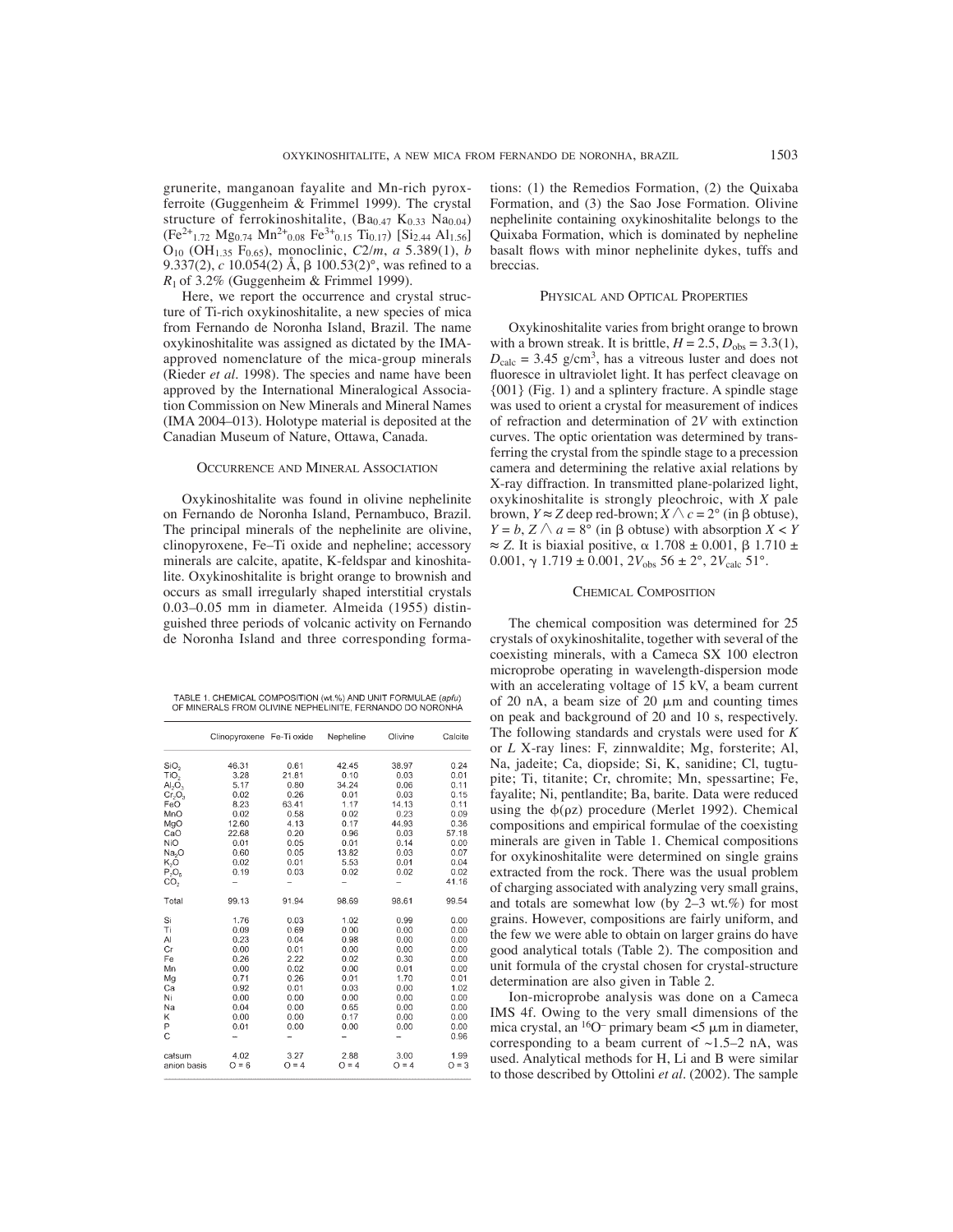grunerite, manganoan fayalite and Mn-rich pyroxferroite (Guggenheim & Frimmel 1999). The crystal structure of ferrokinoshitalite,  $(Ba_{0.47} K_{0.33} Na_{0.04})$  $(Fe^{2+}{}_{1.72}$  Mg<sub>0.74</sub> Mn<sup>2+</sup><sub>0.08</sub>  $Fe^{3+}$ <sub>0.15</sub> Ti<sub>0.17</sub>) [Si<sub>2.44</sub> Al<sub>1.56</sub>] O10 (OH1.35 F0.65), monoclinic, *C*2/*m*, *a* 5.389(1), *b* 9.337(2),  $c$  10.054(2) Å,  $\beta$  100.53(2)°, was refined to a *R*1 of 3.2% (Guggenheim & Frimmel 1999).

Here, we report the occurrence and crystal structure of Ti-rich oxykinoshitalite, a new species of mica from Fernando de Noronha Island, Brazil. The name oxykinoshitalite was assigned as dictated by the IMAapproved nomenclature of the mica-group minerals (Rieder *et al.* 1998). The species and name have been approved by the International Mineralogical Association Commission on New Minerals and Mineral Names (IMA 2004–013). Holotype material is deposited at the Canadian Museum of Nature, Ottawa, Canada.

## OCCURRENCE AND MINERAL ASSOCIATION

Oxykinoshitalite was found in olivine nephelinite on Fernando de Noronha Island, Pernambuco, Brazil. The principal minerals of the nephelinite are olivine, clinopyroxene, Fe–Ti oxide and nepheline; accessory minerals are calcite, apatite, K-feldspar and kinoshitalite. Oxykinoshitalite is bright orange to brownish and occurs as small irregularly shaped interstitial crystals 0.03–0.05 mm in diameter. Almeida (1955) distinguished three periods of volcanic activity on Fernando de Noronha Island and three corresponding forma-

TABLE 1. CHEMICAL COMPOSITION (wt.%) AND UNIT FORMULAE (apfu)<br>OF MINERALS FROM OLIVINE NEPHELINITE, FERNANDO DO NORONHA

|                                | Clinopyroxene Fe-Ti oxide |         | Nepheline | Olivine | Calcite |
|--------------------------------|---------------------------|---------|-----------|---------|---------|
| SiO <sub>2</sub>               | 46.31                     | 0.61    | 42.45     | 38.97   | 0.24    |
| TiO <sub>2</sub>               | 3.28                      | 21.81   | 0.10      | 0.03    | 0.01    |
| AI <sub>2</sub> O <sub>3</sub> | 5.17                      | 0.80    | 34.24     | 0.06    | 0.11    |
| $Cr_2O_3$                      | 0.02                      | 0.26    | 0.01      | 0.03    | 0.15    |
| FeO                            | 8.23                      | 63.41   | 1.17      | 14.13   | 0.11    |
| MnO                            | 0.02                      | 0.58    | 0.02      | 0.23    | 0.09    |
| MgO                            | 12.60                     | 4.13    | 0.17      | 44.93   | 0.36    |
| CaO                            | 22.68                     | 0.20    | 0.96      | 0.03    | 57.18   |
| NiO                            | 0.01                      | 0.05    | 0.01      | 0.14    | 0.00    |
| Na <sub>2</sub> O              | 0.60                      | 0.05    | 13.82     | 0.03    | 0.07    |
| K,O                            | 0.02                      | 0.01    | 5.53      | 0.01    | 0.04    |
| $P_2O_6$                       | 0.19                      | 0.03    | 0.02      | 0.02    | 0.02    |
| CO,                            |                           |         |           |         | 41.16   |
| Total                          | 99.13                     | 91.94   | 98.69     | 98.61   | 99.54   |
| Si                             | 1.76                      | 0.03    | 1.02      | 0.99    | 0.00    |
| Τi                             | 0.09                      | 0.69    | 0.00      | 0.00    | 0.00    |
| Al                             | 0.23                      | 0.04    | 0.98      | 0.00    | 0.00    |
| Cr                             | 0.00                      | 0.01    | 0.00      | 0.00    | 0.00    |
| Fe                             | 0.26                      | 2.22    | 0.02      | 0.30    | 0.00    |
| Mn                             | 0.00                      | 0.02    | 0.00      | 0.01    | 0.00    |
| Mg                             | 0.71                      | 0.26    | 0.01      | 1.70    | 0.01    |
| Ca                             | 0.92                      | 0.01    | 0.03      | 0.00    | 1.02    |
| Ni                             | 0.00                      | 0.00    | 0.00      | 0.00    | 0.00    |
| Na                             | 0.04                      | 0.00    | 0.65      | 0.00    | 0.00    |
| Κ                              | 0.00                      | 0.00    | 0.17      | 0.00    | 0.00    |
| P                              | 0.01                      | 0.00    | 0.00      | 0.00    | 0.00    |
| C                              |                           |         |           |         | 0.96    |
| catsum                         | 4.02                      | 3.27    | 2.88      | 3.00    | 1.99    |
| anion basis                    | $O = 6$                   | $Q = 4$ | $Q = 4$   | $Q = 4$ | $Q = 3$ |
|                                |                           |         |           |         |         |

tions: (1) the Remedios Formation, (2) the Quixaba Formation, and (3) the Sao Jose Formation. Olivine nephelinite containing oxykinoshitalite belongs to the Quixaba Formation, which is dominated by nepheline basalt flows with minor nephelinite dykes, tuffs and breccias.

## PHYSICAL AND OPTICAL PROPERTIES

Oxykinoshitalite varies from bright orange to brown with a brown streak. It is brittle,  $H = 2.5$ ,  $D_{\text{obs}} = 3.3(1)$ ,  $D_{\text{calc}} = 3.45 \text{ g/cm}^3$ , has a vitreous luster and does not fluoresce in ultraviolet light. It has perfect cleavage on {001} (Fig. 1) and a splintery fracture. A spindle stage was used to orient a crystal for measurement of indices of refraction and determination of 2*V* with extinction curves. The optic orientation was determined by transferring the crystal from the spindle stage to a precession camera and determining the relative axial relations by X-ray diffraction. In transmitted plane-polarized light, oxykinoshitalite is strongly pleochroic, with *X* pale brown,  $Y \approx Z$  deep red-brown;  $X \wedge c = 2^{\circ}$  (in  $\beta$  obtuse),  $Y = b$ ,  $Z \wedge a = 8^{\circ}$  (in  $\beta$  obtuse) with absorption  $X \leq Y$  $\approx$  *Z*. It is biaxial positive,  $\alpha$  1.708 ± 0.001,  $\beta$  1.710 ± 0.001,  $\gamma$  1.719  $\pm$  0.001,  $2V_{\text{obs}}$  56  $\pm$  2°,  $2V_{\text{calc}}$  51°.

## CHEMICAL COMPOSITION

The chemical composition was determined for 25 crystals of oxykinoshitalite, together with several of the coexisting minerals, with a Cameca SX 100 electron microprobe operating in wavelength-dispersion mode with an accelerating voltage of 15 kV, a beam current of 20 nA, a beam size of 20  $\mu$ m and counting times on peak and background of 20 and 10 s, respectively. The following standards and crystals were used for *K* or *L* X-ray lines: F, zinnwaldite; Mg, forsterite; Al, Na, jadeite; Ca, diopside; Si, K, sanidine; Cl, tugtupite; Ti, titanite; Cr, chromite; Mn, spessartine; Fe, fayalite; Ni, pentlandite; Ba, barite. Data were reduced using the  $\phi$ ( $\rho$ z) procedure (Merlet 1992). Chemical compositions and empirical formulae of the coexisting minerals are given in Table 1. Chemical compositions for oxykinoshitalite were determined on single grains extracted from the rock. There was the usual problem of charging associated with analyzing very small grains, and totals are somewhat low (by 2–3 wt.%) for most grains. However, compositions are fairly uniform, and the few we were able to obtain on larger grains do have good analytical totals (Table 2). The composition and unit formula of the crystal chosen for crystal-structure determination are also given in Table 2.

Ion-microprobe analysis was done on a Cameca IMS 4f. Owing to the very small dimensions of the mica crystal, an  $\frac{16}{0}$  primary beam <5  $\mu$ m in diameter, corresponding to a beam current of  $\sim$ 1.5–2 nA, was used. Analytical methods for H, Li and B were similar to those described by Ottolini *et al*. (2002). The sample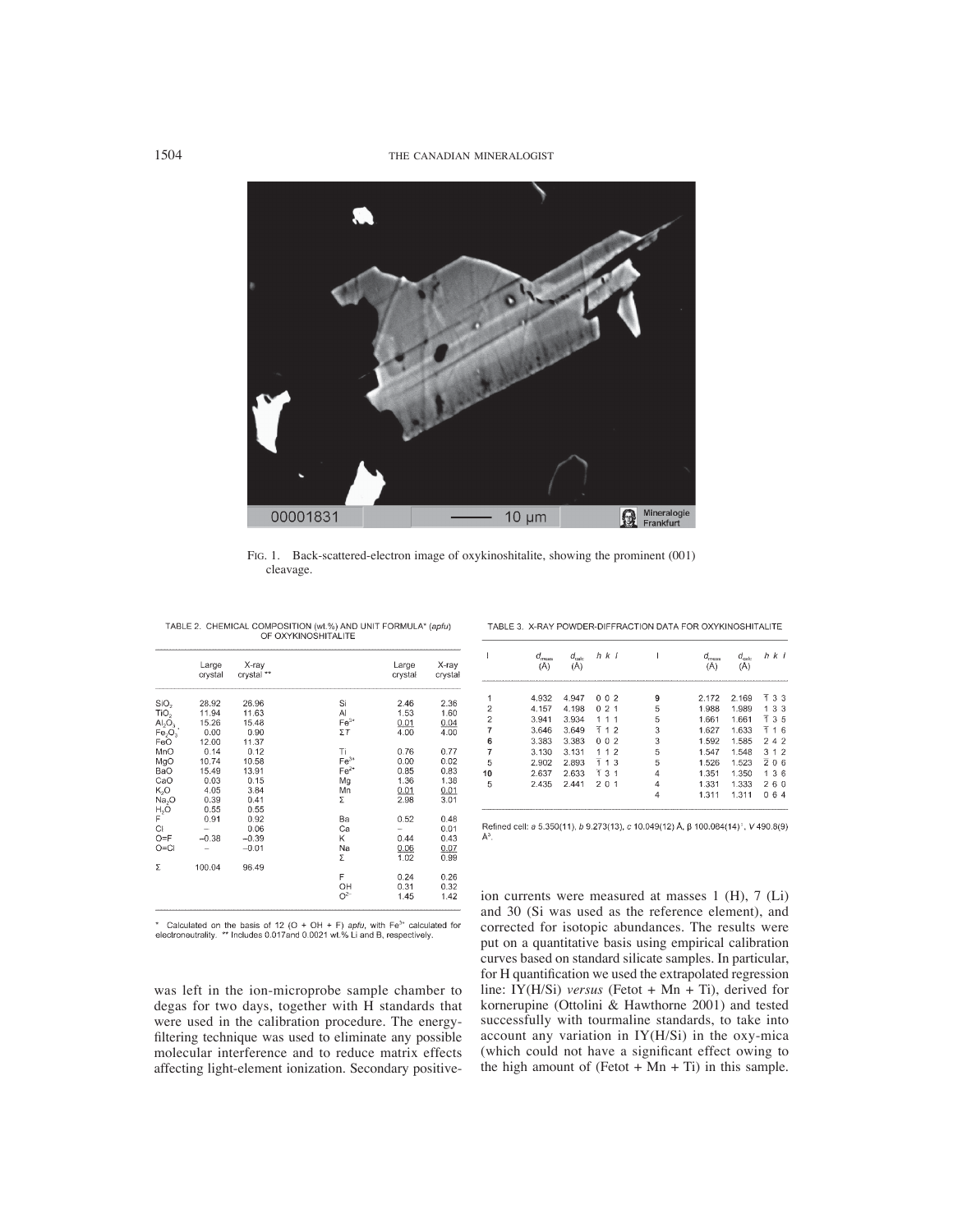1504 THE CANADIAN MINERALOGIST



FIG. 1. Back-scattered-electron image of oxykinoshitalite, showing the prominent (001) cleavage.

|                                | Large<br>crystal | X-ray<br>crystal ** |        | Large<br>crystal | X-ray<br>crystal |
|--------------------------------|------------------|---------------------|--------|------------------|------------------|
| SiO <sub>2</sub>               | 28.92            | 26.96               | Si     | 2.46             | 2.36             |
| TiO <sub>2</sub>               | 11.94            | 11.63               | AI     | 1.53             | 1.60             |
| $\mathsf{Al}_2\mathsf{O}_3$    | 15.26            | 15.48               | $Fe3+$ | 0.01             | 0.04             |
| Fe <sub>2</sub> O <sub>3</sub> | 0.00             | 0.90                | ΣT     | 4.00             | 4.00             |
| FeO                            | 12.00            | 11.37               |        |                  |                  |
| MnO                            | 0.14             | 0.12                | Ti     | 0.76             | 0.77             |
| MgO                            | 10.74            | 10.58               | $Fe3+$ | 0.00             | 0.02             |
| BaO                            | 15.49            | 13.91               | $Fe2+$ | 0.85             | 0.83             |
| CaO                            | 0.03             | 0.15                | Mg     | 1.36             | 1.38             |
| K,O                            | 4.05             | 3.84                | Mn     | 0.01             | 0.01             |
| Na <sub>2</sub> O              | 0.39             | 0.41                | Σ      | 2.98             | 3.01             |
| $H_2O$                         | 0.55             | 0.55                |        |                  |                  |
| F                              | 0.91             | 0.92                | Ba     | 0.52             | 0.48             |
| CI                             |                  | 0.06                | Ca     |                  | 0.01             |
| $O = F$                        | $-0.38$          | $-0.39$             | Κ      | 0.44             | 0.43             |
| $O = Cl$                       |                  | $-0.01$             | Na     | 0.06             | 0.07             |
|                                |                  |                     | Σ      | 1.02             | 0.99             |
| Σ                              | 100.04           | 96.49               |        |                  |                  |
|                                |                  |                     | F      | 0.24             | 0.26             |
|                                |                  |                     | OH     | 0.31             | 0.32             |
|                                |                  |                     | $O2-$  | 1.45             | 1.42             |

TABLE 2. CHEMICAL COMPOSITION (wt.%) AND UNIT FORMULA\* (apfu) OF OXYKINOSHITALITE

\* Calculated on the basis of 12 (O + OH + F) apfu, with  $Fe^{3+}$  calculated for electroneutrality. \*\* Includes 0.017 and 0.0021 wt.% Li and B, respectively.

was left in the ion-microprobe sample chamber to degas for two days, together with H standards that were used in the calibration procedure. The energyfiltering technique was used to eliminate any possible molecular interference and to reduce matrix effects affecting light-element ionization. Secondary positive-

| TABLE 3. X-RAY POWDER-DIFFRACTION DATA FOR OXYKINOSHITALITE |
|-------------------------------------------------------------|

|                | $a_{\rm meas}$ | $a_{\rm calc}$ | $h$ $k$ $l$         |   | $a_{\rm meas}$ | $a_{\rm calc}$ | h k l                      |
|----------------|----------------|----------------|---------------------|---|----------------|----------------|----------------------------|
|                | 4.932          | 4.947          | 002                 | 9 | 2.172          | 2.169          | T 3 3                      |
| $\overline{2}$ | 4.157          | 4.198          | 21<br>0.            | 5 | 1.988          | 1.989          | 33                         |
| $\overline{c}$ | 3.941          | 3.934          |                     | 5 | 1.661          | 1.661          | -7<br>3.5                  |
| 7              | 3.646          | 3.649          | Ŧ<br>12             | 3 | 1.627          | 1.633          | 1<br>16                    |
| 6              | 3.383          | 3.383          | -2<br>0<br>$\Omega$ | 3 | 1.592          | 1.585          | 242                        |
| 7              | 3.130          | 3.131          | -2                  | 5 | 1.547          | 1.548          | 312                        |
| 5              | 2.902          | 2.893          | Ŧ<br>1 <sub>3</sub> | 5 | 1.526          | 1.523          | 206                        |
| 10             | 2.637          | 2.633          | 131                 | 4 | 1.351          | 1.350          | 36<br>$\blacktriangleleft$ |
| 5              | 2.435          | 2.441          | 201                 |   | 1.331          | 1.333          | 260                        |
|                |                |                |                     |   | 1.311          | 1.311          | n<br>6<br>4                |

Refined cell: a 5.350(11), b 9.273(13), c 10.049(12) Å, β 100.084(14)°, V 490.8(9) Å<sup>3</sup>

ion currents were measured at masses 1 (H), 7 (Li) and 30 (Si was used as the reference element), and corrected for isotopic abundances. The results were put on a quantitative basis using empirical calibration curves based on standard silicate samples. In particular, for H quantification we used the extrapolated regression line: IY(H/Si) *versus* (Fetot + Mn + Ti), derived for kornerupine (Ottolini & Hawthorne 2001) and tested successfully with tourmaline standards, to take into account any variation in IY(H/Si) in the oxy-mica (which could not have a significant effect owing to the high amount of (Fetot +  $Mn$  + Ti) in this sample.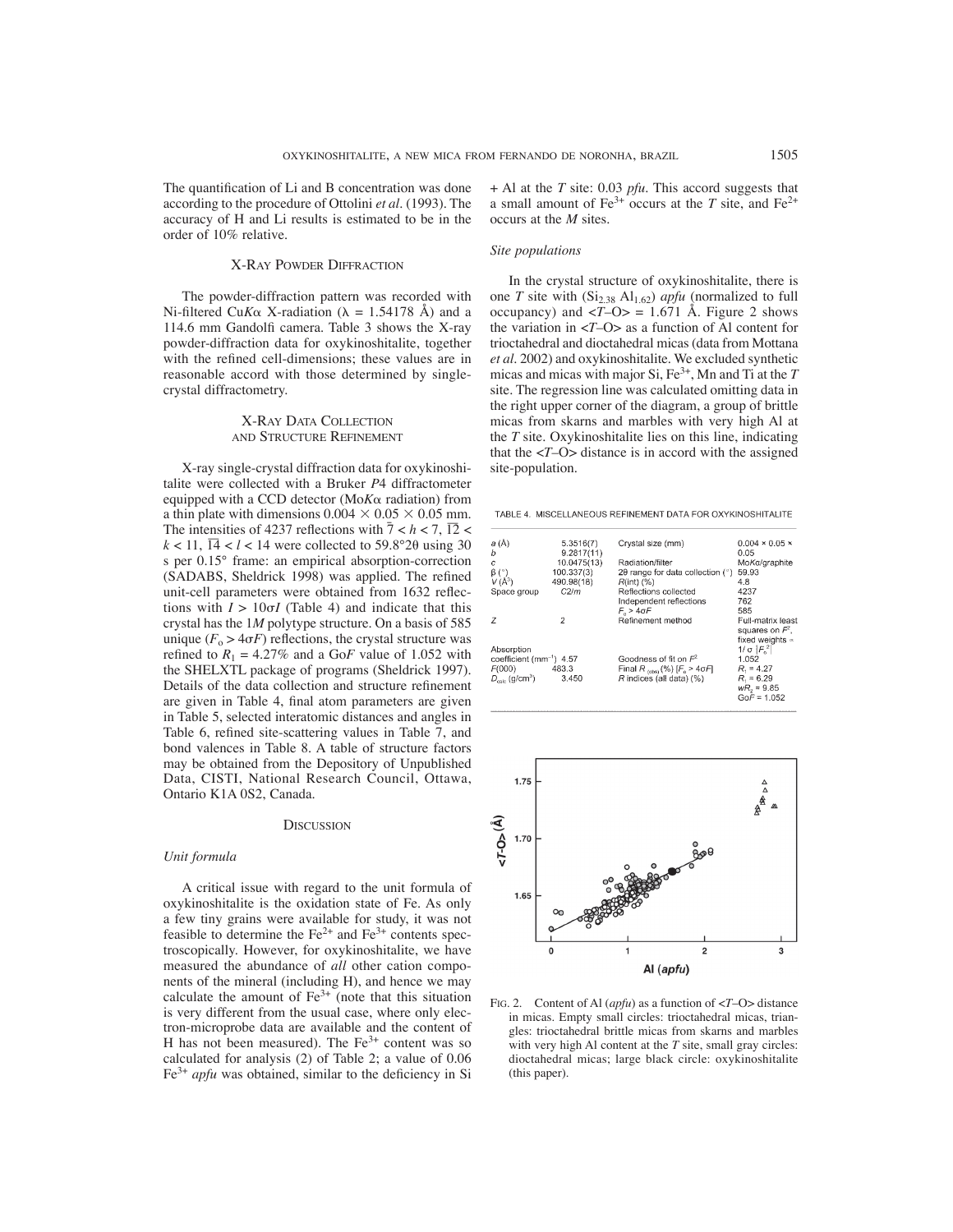The quantification of Li and B concentration was done according to the procedure of Ottolini *et al*. (1993). The accuracy of H and Li results is estimated to be in the order of 10% relative.

#### X-RAY POWDER DIFFRACTION

The powder-diffraction pattern was recorded with Ni-filtered Cu*K* $\alpha$  X-radiation ( $\lambda = 1.54178$  Å) and a 114.6 mm Gandolfi camera. Table 3 shows the X-ray powder-diffraction data for oxykinoshitalite, together with the refined cell-dimensions; these values are in reasonable accord with those determined by singlecrystal diffractometry.

## X-RAY DATA COLLECTION AND STRUCTURE REFINEMENT

X-ray single-crystal diffraction data for oxykinoshitalite were collected with a Bruker *P*4 diffractometer equipped with a CCD detector (MoKa radiation) from a thin plate with dimensions  $0.004 \times 0.05 \times 0.05$  mm. The intensities of 4237 reflections with  $\frac{7}{7} < h < 7$ ,  $\frac{12}{12} <$  $k < 11$ ,  $\overline{14} < l < 14$  were collected to 59.8°20 using 30 s per 0.15° frame: an empirical absorption-correction (SADABS, Sheldrick 1998) was applied. The refined unit-cell parameters were obtained from 1632 reflections with  $I > 10\sigma I$  (Table 4) and indicate that this crystal has the 1*M* polytype structure. On a basis of 585 unique  $(F_o > 4\sigma F)$  reflections, the crystal structure was refined to  $R_1 = 4.27\%$  and a GoF value of 1.052 with the SHELXTL package of programs (Sheldrick 1997). Details of the data collection and structure refinement are given in Table 4, final atom parameters are given in Table 5, selected interatomic distances and angles in Table 6, refined site-scattering values in Table 7, and bond valences in Table 8. A table of structure factors may be obtained from the Depository of Unpublished Data, CISTI, National Research Council, Ottawa, Ontario K1A 0S2, Canada.

#### **DISCUSSION**

## *Unit formula*

A critical issue with regard to the unit formula of oxykinoshitalite is the oxidation state of Fe. As only a few tiny grains were available for study, it was not feasible to determine the  $Fe^{2+}$  and  $Fe^{3+}$  contents spectroscopically. However, for oxykinoshitalite, we have measured the abundance of *all* other cation components of the mineral (including H), and hence we may calculate the amount of  $Fe^{3+}$  (note that this situation is very different from the usual case, where only electron-microprobe data are available and the content of H has not been measured). The  $Fe<sup>3+</sup>$  content was so calculated for analysis (2) of Table 2; a value of 0.06  $Fe<sup>3+</sup>$  *apfu* was obtained, similar to the deficiency in Si + Al at the *T* site: 0.03 *pfu*. This accord suggests that a small amount of  $\text{Fe}^{3+}$  occurs at the *T* site, and  $\text{Fe}^{2+}$ occurs at the *M* sites.

## *Site populations*

In the crystal structure of oxykinoshitalite, there is one *T* site with  $(Si_{2.38} \text{ Al}_{1.62})$  *apfu* (normalized to full occupancy) and  $\langle T-O \rangle = 1.671$  Å. Figure 2 shows the variation in <*T*–O> as a function of Al content for trioctahedral and dioctahedral micas (data from Mottana *et al.* 2002) and oxykinoshitalite. We excluded synthetic micas and micas with major Si, Fe3+, Mn and Ti at the *T* site. The regression line was calculated omitting data in the right upper corner of the diagram, a group of brittle micas from skarns and marbles with very high Al at the *T* site. Oxykinoshitalite lies on this line, indicating that the  $\langle T - Q \rangle$  distance is in accord with the assigned site-population.

TABLE 4. MISCELLANEOUS REFINEMENT DATA FOR OXYKINOSHITALITE

| a (Å)<br>b                             | 5.3516(7)<br>9.2817(11) | Crystal size (mm)                                             | $0.004 \times 0.05 \times$<br>0.05 |
|----------------------------------------|-------------------------|---------------------------------------------------------------|------------------------------------|
| Ċ                                      | 10.0475(13)             | Radiation/filter                                              | MoKa/graphite                      |
| $\beta$ (°)                            | 100.337(3)              | $2\theta$ range for data collection ( $\degree$ )             | 59.93                              |
| $V(\AA^3)$                             | 490.98(18)              | $R(int)$ $(\%)$                                               | 4.8                                |
| Space group                            | C2/m                    | Reflections collected                                         | 4237                               |
|                                        |                         | Independent reflections                                       | 762                                |
|                                        |                         | $F_a > 4 \sigma F$                                            | 585                                |
| Ž                                      | 2                       | Refinement method                                             | Full-matrix least                  |
|                                        |                         |                                                               | squares on $F'$ ,                  |
|                                        |                         |                                                               | fixed weights $\infty$             |
| Absorption                             |                         |                                                               | 1/σ  F <sub>o</sub> <sup>2</sup>   |
| coefficient (mm <sup>-1</sup> ) 4.57   |                         | Goodness of fit on $F^2$                                      | 1.052                              |
| F(000)                                 | 483.3                   | Final R $_{\text{const}}$ (%) [ $F_{\text{o}} > 4 \sigma F$ ] | $R_{1} = 4.27$                     |
| $D_{\text{calc}}$ (g/cm <sup>3</sup> ) | 3.450                   | R indices (all data) (%)                                      | $R_1 = 6.29$                       |
|                                        |                         |                                                               | $wR = 9.85$                        |
|                                        |                         |                                                               | $GoF = 1.052$                      |



FIG. 2. Content of Al (*apfu*) as a function of <*T*–O> distance in micas. Empty small circles: trioctahedral micas, triangles: trioctahedral brittle micas from skarns and marbles with very high Al content at the *T* site, small gray circles: dioctahedral micas; large black circle: oxykinoshitalite (this paper).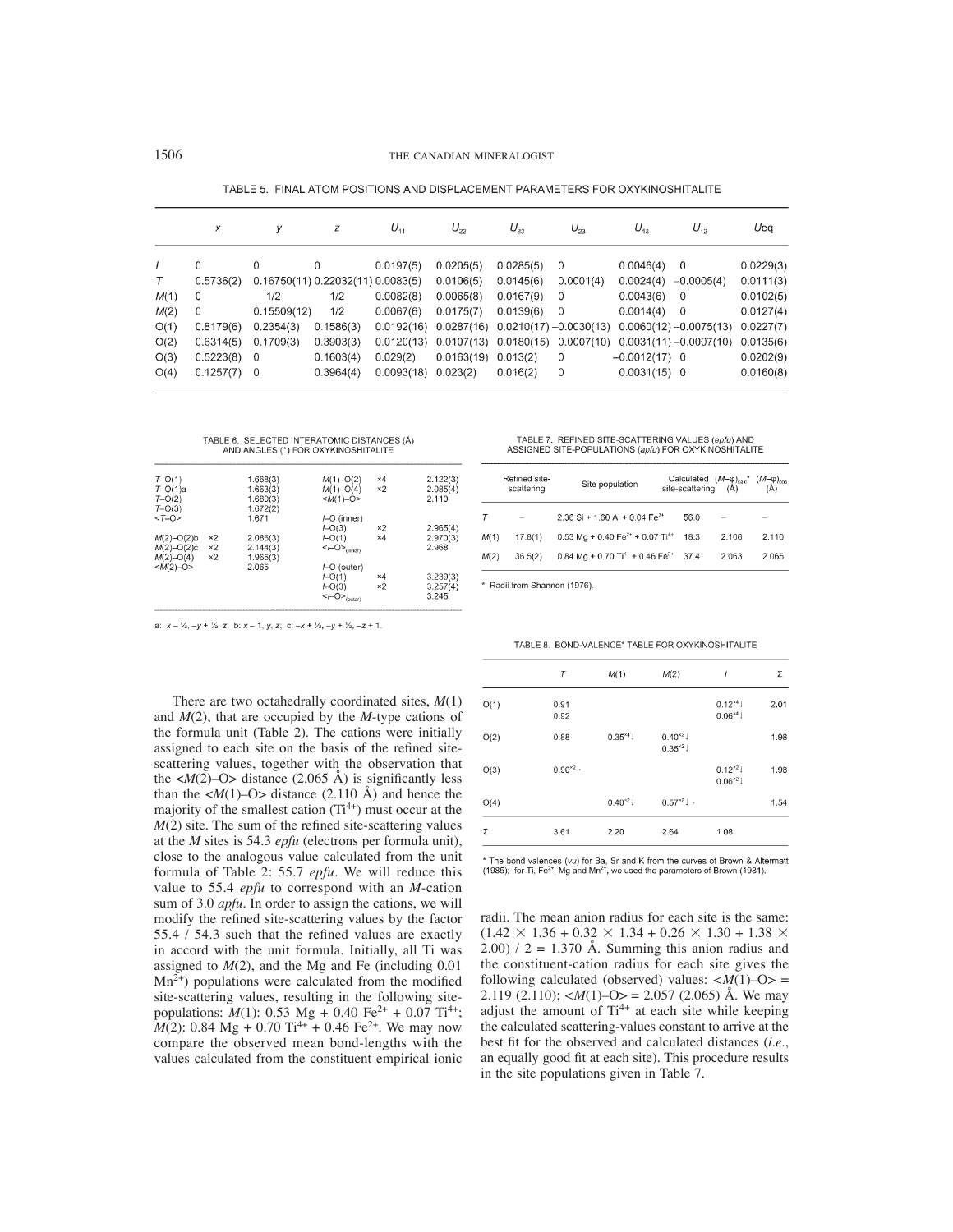TABLE 5. FINAL ATOM POSITIONS AND DISPLACEMENT PARAMETERS FOR OXYKINOSHITALITE

| x           | ν         | z                                   | $U_{11}$         | $U_{22}$                                       | $U_{33}$                            | $U_{23}$                | $U_{13}$                                                                                                      | $U_{12}$  | Ueq                                                                                                                                                                       |
|-------------|-----------|-------------------------------------|------------------|------------------------------------------------|-------------------------------------|-------------------------|---------------------------------------------------------------------------------------------------------------|-----------|---------------------------------------------------------------------------------------------------------------------------------------------------------------------------|
|             |           |                                     |                  |                                                |                                     |                         |                                                                                                               |           | 0.0229(3)                                                                                                                                                                 |
| 0.5736(2)   |           |                                     |                  | 0.0106(5)                                      | 0.0145(6)                           | 0.0001(4)               | 0.0024(4)                                                                                                     |           | 0.0111(3)                                                                                                                                                                 |
| 0           | 1/2       | 1/2                                 | 0.0082(8)        | 0.0065(8)                                      | 0.0167(9)                           | $\overline{0}$          | 0.0043(6)                                                                                                     |           | 0.0102(5)                                                                                                                                                                 |
| $\mathbf 0$ |           | 1/2                                 | 0.0067(6)        | 0.0175(7)                                      | 0.0139(6)                           |                         | 0.0014(4)                                                                                                     |           | 0.0127(4)                                                                                                                                                                 |
| 0.8179(6)   | 0.2354(3) | 0.1586(3)                           | 0.0192(16)       |                                                |                                     |                         |                                                                                                               |           | 0.0227(7)                                                                                                                                                                 |
| 0.6314(5)   | 0.1709(3) | 0.3903(3)                           | 0.0120(13)       |                                                |                                     |                         |                                                                                                               |           | 0.0135(6)                                                                                                                                                                 |
|             |           | 0.1603(4)                           | 0.029(2)         |                                                | 0.013(2)                            | 0                       |                                                                                                               |           | 0.0202(9)                                                                                                                                                                 |
|             |           | 0.3964(4)                           |                  |                                                | 0.016(2)                            | 0                       |                                                                                                               |           | 0.0160(8)                                                                                                                                                                 |
|             | 0         | 0<br>$0.5223(8)$ 0<br>$0.1257(7)$ 0 | 0<br>0.15509(12) | 0.0197(5)<br>0.16750(11) 0.22032(11) 0.0083(5) | 0.0205(5)<br>0.023(2)<br>0.0093(18) | 0.0285(5)<br>0.0163(19) | $\overline{0}$<br>$\Omega$<br>$0.0287(16)$ $0.0210(17) -0.0030(13)$<br>$0.0107(13)$ $0.0180(15)$ $0.0007(10)$ | 0.0046(4) | - 0<br>$-0.0005(4)$<br>$\overline{\phantom{0}}$<br>$\overline{\phantom{0}}$<br>$0.0060(12) -0.0075(13)$<br>$0.0031(11) - 0.0007(10)$<br>$-0.0012(17)$ 0<br>$0.0031(15)$ 0 |

# TABLE 6. SELECTED INTERATOMIC DISTANCES (Å)<br>AND ANGLES (°) FOR OXYKINOSHITALITE

| $T - O(1)$<br>$T-O(1)a$<br>$T - O(2)$<br>$T-O(3)$<br>$(T - 0)$ |                              | 1.668(3)<br>1.663(3)<br>1.680(3)<br>1.672(2)<br>1.671 | $M(1)$ -O(2)<br>$M(1) - O(4)$<br>$$<br>⊢O (inner)                           | ×4<br>×2               | 2.122(3)<br>2.085(4)<br>2.110 |
|----------------------------------------------------------------|------------------------------|-------------------------------------------------------|-----------------------------------------------------------------------------|------------------------|-------------------------------|
| $M(2)$ -O(2)b<br>$M(2)$ -O(2)c<br>$M(2)$ -O(4)                 | ×2<br>$\times 2$<br>$\times$ | 2.085(3)<br>2.144(3)<br>1.965(3)                      | LO(3)<br>$+O(1)$<br>$<$ <i>l</i> -O $>$ <sub>(inner)</sub>                  | $\times$<br>$\times 4$ | 2.965(4)<br>2.970(3)<br>2.968 |
| $$                                                             |                              | 2.065                                                 | ⊢O (outer)<br>$H - O(1)$<br>LO(3)<br>$<$ <i>l</i> -O $>$ <sub>(outer)</sub> | ×4<br>$\times 2$       | 3.239(3)<br>3.257(4)<br>3.245 |

a:  $x - \frac{1}{2}$ ,  $-y + \frac{1}{2}$ , z; b:  $x - 1$ , y, z; c:  $-x + \frac{1}{2}$ ,  $-y + \frac{1}{2}$ ,  $-z + 1$ .

There are two octahedrally coordinated sites, *M*(1) and *M*(2), that are occupied by the *M*-type cations of the formula unit (Table 2). The cations were initially assigned to each site on the basis of the refined sitescattering values, together with the observation that the  $\langle M(2)-O \rangle$  distance (2.065 Å) is significantly less than the  $\langle M(1)-O \rangle$  distance (2.110 Å) and hence the majority of the smallest cation  $(Ti^{4+})$  must occur at the  $M(2)$  site. The sum of the refined site-scattering values at the *M* sites is 54.3 *epfu* (electrons per formula unit), close to the analogous value calculated from the unit formula of Table 2: 55.7 *epfu*. We will reduce this value to 55.4 *epfu* to correspond with an *M*-cation sum of 3.0 *apfu*. In order to assign the cations, we will modify the refined site-scattering values by the factor 55.4  $/$  54.3 such that the refined values are exactly in accord with the unit formula. Initially, all Ti was assigned to *M*(2), and the Mg and Fe (including 0.01  $Mn^{2+}$ ) populations were calculated from the modified site-scattering values, resulting in the following sitepopulations:  $M(1)$ : 0.53 Mg + 0.40 Fe<sup>2+</sup> + 0.07 Ti<sup>4+</sup>;  $M(2)$ : 0.84 Mg + 0.70 Ti<sup>4+</sup> + 0.46 Fe<sup>2+</sup>. We may now compare the observed mean bond-lengths with the values calculated from the constituent empirical ionic

TABLE 7. REFINED SITE-SCATTERING VALUES (epfu) AND<br>ASSIGNED SITE-POPULATIONS (apfu) FOR OXYKINOSHITALITE

|      | Refined site-<br>scattering | Site population                                         | Calculated $(M-\varphi)_{calc}^*$ $(M-\varphi)_{cbs}$<br>site-scattering $(A)$ $(A)$ |       |       |
|------|-----------------------------|---------------------------------------------------------|--------------------------------------------------------------------------------------|-------|-------|
|      | -                           | 2.36 Si + 1.60 Al + 0.04 Fe <sup>3+</sup>               | 56.0                                                                                 |       |       |
| M(1) | 17.8(1)                     | 0.53 Mg + 0.40 Fe <sup>2+</sup> + 0.07 Ti <sup>4+</sup> | 18.3                                                                                 | 2.106 | 2.110 |
| M(2) | 36.5(2)                     | 0.84 Mg + 0.70 Ti <sup>4+</sup> + 0.46 Fe <sup>2+</sup> | 37.4                                                                                 | 2.063 | 2.065 |

\* Radii from Shannon (1976)

|  | TABLE 8. BOND-VALENCE* TABLE FOR OXYKINOSHITALITE |
|--|---------------------------------------------------|
|  |                                                   |

|      | Τ                       | M(1)        | M(2)                        | ı                           | Σ    |
|------|-------------------------|-------------|-----------------------------|-----------------------------|------|
| O(1) | 0.91<br>0.92            |             |                             | $0.12^{*4}$<br>$0.06^{*4}$  | 2.01 |
| O(2) | 0.88                    | $0.35^{*4}$ | $0.40^{*2}$<br>$0.35^{*2}$  |                             | 1.98 |
| O(3) | $0.90^{*2} \rightarrow$ |             |                             | $0.12^{22}1$<br>$0.06^{*2}$ | 1.98 |
| O(4) |                         | $0.40^{32}$ | $0.57^{*2}$   $\rightarrow$ |                             | 1.54 |
| Σ    | 3.61                    | 2.20        | 2.64                        | 1.08                        |      |

\* The bond valences (vu) for Ba, Sr and K from the curves of Brown & Altermatt (1985); for Ti, Fe<sup>2+</sup>, Mg and Mn<sup>2+</sup>, we used the parameters of Brown (1981).

radii. The mean anion radius for each site is the same:  $(1.42 \times 1.36 + 0.32 \times 1.34 + 0.26 \times 1.30 + 1.38 \times$  $2.00$ ) / 2 = 1.370 Å. Summing this anion radius and the constituent-cation radius for each site gives the following calculated (observed) values:  $\langle M(1) - \text{O} \rangle =$ 2.119 (2.110);  $\langle M(1)-O \rangle = 2.057$  (2.065) Å. We may adjust the amount of  $Ti^{4+}$  at each site while keeping the calculated scattering-values constant to arrive at the best fit for the observed and calculated distances (*i.e.*, an equally good fit at each site). This procedure results in the site populations given in Table 7.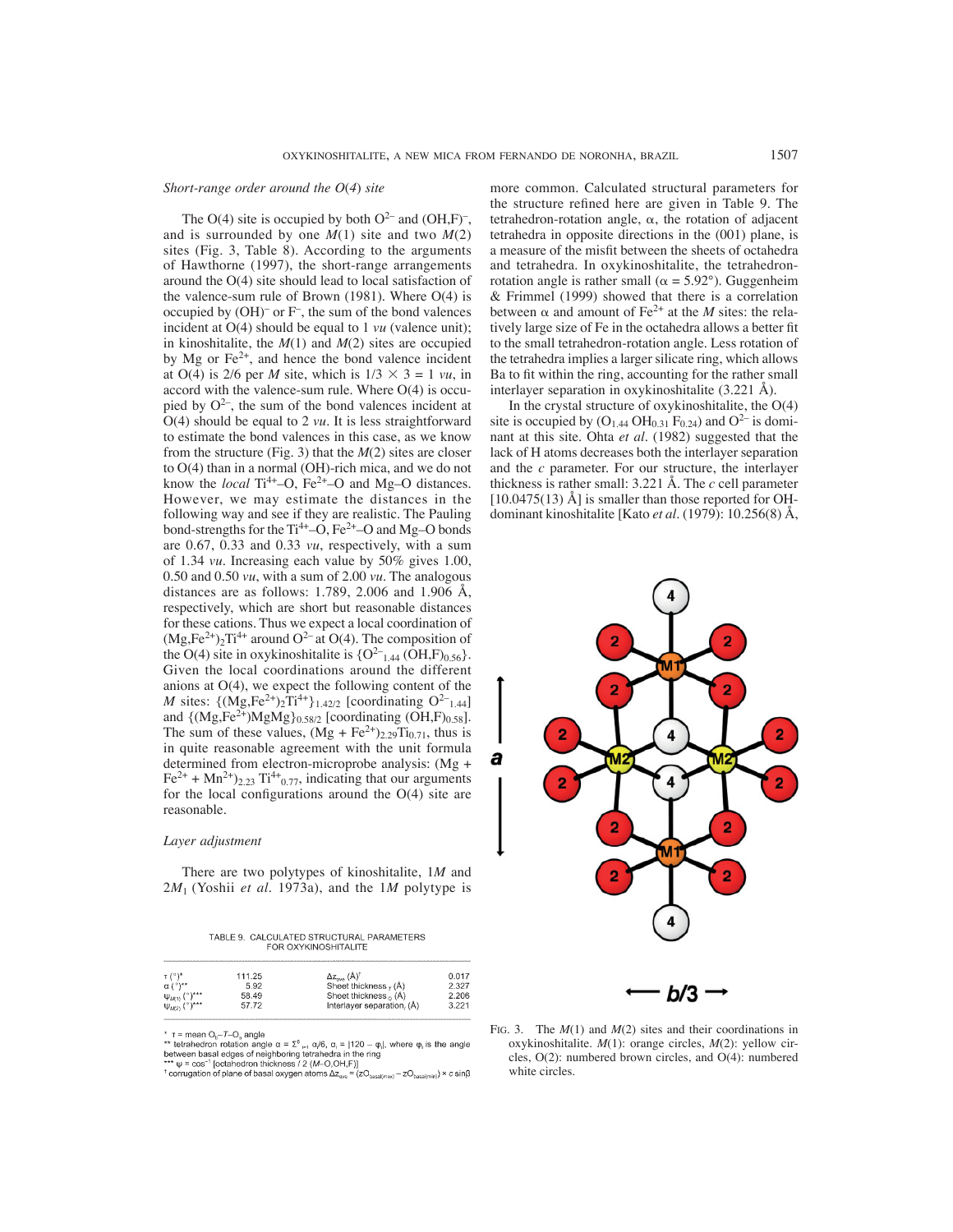## *Short-range order around the O*(*4*) *site*

The O(4) site is occupied by both  $O^{2-}$  and  $(OH,F)^{-}$ , and is surrounded by one *M*(1) site and two *M*(2) sites (Fig. 3, Table 8). According to the arguments of Hawthorne (1997), the short-range arrangements around the O(4) site should lead to local satisfaction of the valence-sum rule of Brown (1981). Where O(4) is occupied by (OH)– or F– , the sum of the bond valences incident at O(4) should be equal to 1 *vu* (valence unit); in kinoshitalite, the *M*(1) and *M*(2) sites are occupied by Mg or Fe<sup>2+</sup>, and hence the bond valence incident at O(4) is 2/6 per *M* site, which is  $1/3 \times 3 = 1$  *vu*, in accord with the valence-sum rule. Where O(4) is occupied by  $O^{2-}$ , the sum of the bond valences incident at O(4) should be equal to 2 *vu*. It is less straightforward to estimate the bond valences in this case, as we know from the structure (Fig. 3) that the *M*(2) sites are closer to O(4) than in a normal (OH)-rich mica, and we do not know the *local*  $Ti^{4+}$ –O,  $Fe^{2+}$ –O and Mg–O distances. However, we may estimate the distances in the following way and see if they are realistic. The Pauling bond-strengths for the  $Ti^{4+}$ –O,  $Fe^{2+}$ –O and Mg–O bonds are 0.67, 0.33 and 0.33 *vu*, respectively, with a sum of 1.34 *vu*. Increasing each value by 50% gives 1.00, 0.50 and 0.50 *vu*, with a sum of 2.00 *vu*. The analogous distances are as follows: 1.789, 2.006 and 1.906 Å, respectively, which are short but reasonable distances for these cations. Thus we expect a local coordination of  $(Mg,Fe^{2+})_2Ti^{4+}$  around  $O^{2-}$  at  $O(4)$ . The composition of the O(4) site in oxykinoshitalite is  ${O^{2-}}_{1.44}$  (OH,F)<sub>0.56</sub>. Given the local coordinations around the different anions at O(4), we expect the following content of the *M* sites:  $\{ (Mg, Fe^{2+})_2 Ti^{4+} \}_{1.42/2}$  [coordinating  $O^{2-}{}_{1.44}$ ] and  $\{(Mg,Fe^{2+})MgMg\}_{0.58/2}$  [coordinating (OH,F)<sub>0.58</sub>]. The sum of these values,  $(Mg + Fe^{2+})_{2.29}Ti_{0.71}$ , thus is in quite reasonable agreement with the unit formula determined from electron-microprobe analysis: (Mg +  $Fe<sup>2+</sup> + Mn<sup>2+</sup>$ <sub>2.23</sub> Ti<sup>4+</sup><sub>0.77</sub>, indicating that our arguments for the local configurations around the  $O(4)$  site are reasonable.

## *Layer adjustment*

There are two polytypes of kinoshitalite, 1*M* and 2*M*1 (Yoshii *et al*. 1973a), and the 1*M* polytype is

| TABLE 9. CALCULATED STRUCTURAL PARAMETERS |
|-------------------------------------------|
| FOR OXYKINOSHITALITE                      |

| $T^{\alpha}$         | 111.25 | $\Delta z$ <sub>ava</sub> $(A)^{\dagger}$ | 0.017 |
|----------------------|--------|-------------------------------------------|-------|
| $\alpha$ (°)**       | 5.92   | Sheet thickness $_{7}$ (Å)                | 2.327 |
| $\Psi_{M(1)}$ (°)*** | 58.49  | Sheet thickness $_{\alpha}$ (A)           | 2.206 |
| $\Psi_{M(2)}$ (°)*** | 57.72  | Interlayer separation, (A)                | 3.221 |
|                      |        |                                           |       |

 $T =$  mean  $O_b - T - O_a$  angle

**1** - mean  $v_{\text{b}}-v_{\text{b}}$  arity and the angle  $\alpha = \Sigma^6$  is  $\alpha/6$ ,  $\alpha_1 = |120 - \varphi_1|$ , where  $\varphi_1$  is the angle<br>between basal edges of neighboring tetrahedra in the ring<br> $\gamma^* \psi = \cos^{-1}$  [octahedron thickness / 2 (*M*-

more common. Calculated structural parameters for the structure refined here are given in Table 9. The tetrahedron-rotation angle,  $\alpha$ , the rotation of adjacent tetrahedra in opposite directions in the (001) plane, is a measure of the misfit between the sheets of octahedra and tetrahedra. In oxykinoshitalite, the tetrahedronrotation angle is rather small ( $\alpha = 5.92^{\circ}$ ). Guggenheim & Frimmel (1999) showed that there is a correlation between  $\alpha$  and amount of Fe<sup>2+</sup> at the *M* sites: the relatively large size of Fe in the octahedra allows a better fit to the small tetrahedron-rotation angle. Less rotation of the tetrahedra implies a larger silicate ring, which allows Ba to fit within the ring, accounting for the rather small interlayer separation in oxykinoshitalite (3.221 Å).

In the crystal structure of oxykinoshitalite, the  $O(4)$ site is occupied by  $(O_{1.44} \text{OH}_{0.31} \text{F}_{0.24})$  and  $O^{2-}$  is dominant at this site. Ohta *et al.* (1982) suggested that the lack of H atoms decreases both the interlayer separation and the *c* parameter. For our structure, the interlayer thickness is rather small: 3.221 Å. The *c* cell parameter  $[10.0475(13)$  Å is smaller than those reported for OHdominant kinoshitalite [Kato *et al*. (1979): 10.256(8) Å,



FIG. 3. The  $M(1)$  and  $M(2)$  sites and their coordinations in oxykinoshitalite. *M*(1): orange circles, *M*(2): yellow circles, O(2): numbered brown circles, and O(4): numbered white circles.

 $\frac{1}{2}$  corrugation of plane of basal oxygen atoms  $\Delta z_{ave} = (zO_{\text{basal(max)}} - zO_{\text{basal(mini}}) \times c \sin\beta)$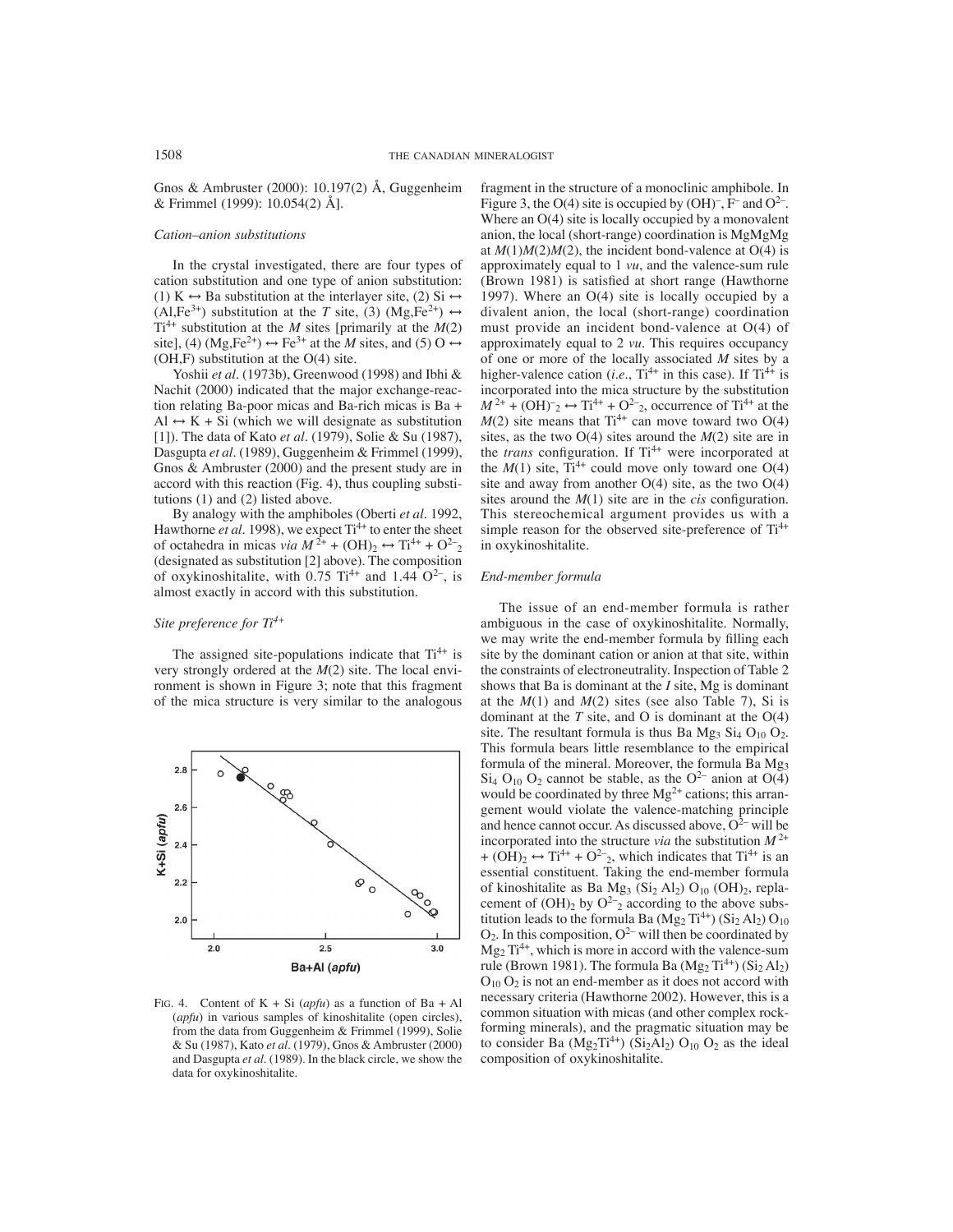Gnos & Ambruster (2000): 10.197(2) Å, Guggenheim & Frimmel (1999): 10.054(2) Å].

## *Cation–anion substitutions*

In the crystal investigated, there are four types of cation substitution and one type of anion substitution: (1) K  $\leftrightarrow$  Ba substitution at the interlayer site, (2) Si  $\leftrightarrow$ (Al,Fe<sup>3+</sup>) substitution at the *T* site, (3) (Mg,Fe<sup>2+</sup>)  $\leftrightarrow$  $Ti^{4+}$  substitution at the *M* sites [primarily at the *M*(2) site], (4)  $(Mg, Fe^{2+}) \leftrightarrow Fe^{3+}$  at the *M* sites, and (5) O  $\leftrightarrow$ (OH,F) substitution at the O(4) site.

Yoshii *et al*. (1973b), Greenwood (1998) and Ibhi & Nachit (2000) indicated that the major exchange-reaction relating Ba-poor micas and Ba-rich micas is Ba + Al  $\leftrightarrow$  K + Si (which we will designate as substitution [1]). The data of Kato *et al*. (1979), Solie & Su (1987), Dasgupta *et al*. (1989), Guggenheim & Frimmel (1999), Gnos & Ambruster (2000) and the present study are in accord with this reaction (Fig. 4), thus coupling substitutions (1) and (2) listed above.

By analogy with the amphiboles (Oberti *et al.* 1992, Hawthorne *et al.* 1998), we expect Ti<sup>4+</sup> to enter the sheet of octahedra in micas *via*  $M^{2+}$  + (OH)<sub>2</sub>  $\leftrightarrow$  Ti<sup>4+</sup> + O<sup>2–</sup><sub>2</sub> (designated as substitution [2] above). The composition of oxykinoshitalite, with 0.75  $Ti^{4+}$  and 1.44  $O^{2-}$ , is almost exactly in accord with this substitution.

# *Site preference for Ti4+*

The assigned site-populations indicate that  $Ti^{4+}$  is very strongly ordered at the *M*(2) site. The local environment is shown in Figure 3; note that this fragment of the mica structure is very similar to the analogous



FIG. 4. Content of  $K + Si$  (*apfu*) as a function of  $Ba + Al$ (*apfu*) in various samples of kinoshitalite (open circles), from the data from Guggenheim & Frimmel (1999), Solie & Su (1987), Kato *et al*. (1979), Gnos & Ambruster (2000) and Dasgupta *et al*. (1989). In the black circle, we show the data for oxykinoshitalite.

fragment in the structure of a monoclinic amphibole. In Figure 3, the O(4) site is occupied by  $(OH)^{-}$ , F<sup>-</sup> and  $O^{2-}$ . Where an O(4) site is locally occupied by a monovalent anion, the local (short-range) coordination is MgMgMg at  $M(1)M(2)M(2)$ , the incident bond-valence at  $O(4)$  is approximately equal to 1 *vu*, and the valence-sum rule (Brown 1981) is satisfied at short range (Hawthorne 1997). Where an  $O(4)$  site is locally occupied by a divalent anion, the local (short-range) coordination must provide an incident bond-valence at O(4) of approximately equal to 2 *vu*. This requires occupancy of one or more of the locally associated *M* sites by a higher-valence cation (*i.e.*,  $Ti^{4+}$  in this case). If  $Ti^{4+}$  is incorporated into the mica structure by the substitution  $M^{2+}$  + (OH)<sup>-</sup><sub>2</sub>  $\leftrightarrow$  Ti<sup>4+</sup> + O<sup>2-</sup><sub>2</sub>, occurrence of Ti<sup>4+</sup> at the  $M(2)$  site means that Ti<sup>4+</sup> can move toward two O(4) sites, as the two O(4) sites around the *M*(2) site are in the *trans* configuration. If Ti<sup>4+</sup> were incorporated at the  $M(1)$  site,  $Ti^{4+}$  could move only toward one  $O(4)$ site and away from another  $O(4)$  site, as the two  $O(4)$ sites around the  $M(1)$  site are in the *cis* configuration. This stereochemical argument provides us with a simple reason for the observed site-preference of  $Ti^{4+}$ in oxykinoshitalite.

## *End-member formula*

The issue of an end-member formula is rather ambiguous in the case of oxykinoshitalite. Normally, we may write the end-member formula by filling each site by the dominant cation or anion at that site, within the constraints of electroneutrality. Inspection of Table 2 shows that Ba is dominant at the *I* site, Mg is dominant at the  $M(1)$  and  $M(2)$  sites (see also Table 7), Si is dominant at the  $T$  site, and  $O$  is dominant at the  $O(4)$ site. The resultant formula is thus Ba  $Mg_3$  Si<sub>4</sub> O<sub>10</sub> O<sub>2</sub>. This formula bears little resemblance to the empirical formula of the mineral. Moreover, the formula Ba  $Mg_3$  $Si<sub>4</sub> O<sub>10</sub> O<sub>2</sub>$  cannot be stable, as the O<sup>2–</sup> anion at O(4) would be coordinated by three  $Mg^{2+}$  cations; this arrangement would violate the valence-matching principle and hence cannot occur. As discussed above,  $O^{2-}$  will be incorporated into the structure *via* the substitution  $M^{2+}$ +  $(\overrightarrow{OH})_2 \leftrightarrow \text{Ti}^{4+} + \text{O}^{2-}$ , which indicates that  $\text{Ti}^{4+}$  is an essential constituent. Taking the end-member formula of kinoshitalite as Ba Mg<sub>3</sub> (Si<sub>2</sub> Al<sub>2</sub>) O<sub>10</sub> (OH)<sub>2</sub>, replacement of  $(OH)_2$  by  $O^{2-}$ <sub>2</sub> according to the above substitution leads to the formula Ba  $(Mg_2 Ti^{4+}) (Si_2 Al_2) O_{10}$  $O_2$ . In this composition,  $O^{2-}$  will then be coordinated by  $Mg_2 Ti^{4+}$ , which is more in accord with the valence-sum rule (Brown 1981). The formula Ba ( $Mg_2 Ti^{4+}$ ) (Si<sub>2</sub> Al<sub>2</sub>)  $O_{10} O_2$  is not an end-member as it does not accord with necessary criteria (Hawthorne 2002). However, this is a common situation with micas (and other complex rockforming minerals), and the pragmatic situation may be to consider Ba ( $Mg_2Ti^{4+}$ ) (Si<sub>2</sub>Al<sub>2</sub>) O<sub>10</sub> O<sub>2</sub> as the ideal composition of oxykinoshitalite.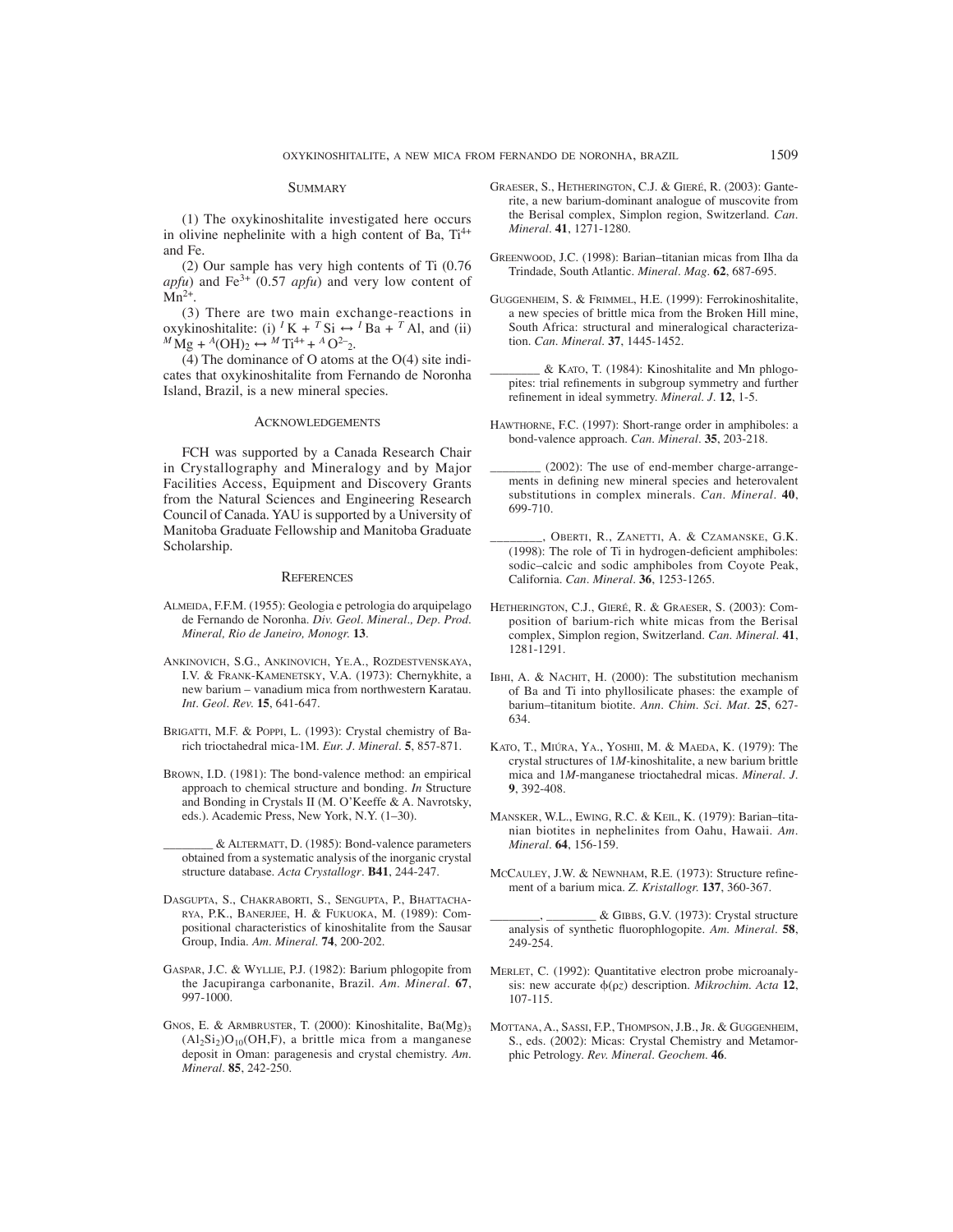#### **SUMMARY**

(1) The oxykinoshitalite investigated here occurs in olivine nephelinite with a high content of Ba,  $Ti^{4+}$ and Fe.

(2) Our sample has very high contents of Ti (0.76 *apfu*) and Fe<sup>3+</sup> (0.57 *apfu*) and very low content of  $Mn^{2+}$ .

(3) There are two main exchange-reactions in oxykinoshitalite: (i) <sup>*I*</sup>K + <sup>*T*</sup>Si ↔ <sup>*I*</sup>Ba + <sup>*T*</sup>Al, and (ii)  $^{M}$ Mg + <sup>*A*</sup>(OH)<sub>2</sub> ↔ <sup>*M*</sup> Ti<sup>4+</sup> + <sup>*A*</sup> O<sup>2</sup><sub>2</sub>.

(4) The dominance of O atoms at the O(4) site indicates that oxykinoshitalite from Fernando de Noronha Island, Brazil, is a new mineral species.

#### ACKNOWLEDGEMENTS

FCH was supported by a Canada Research Chair in Crystallography and Mineralogy and by Major Facilities Access, Equipment and Discovery Grants from the Natural Sciences and Engineering Research Council of Canada. YAU is supported by a University of Manitoba Graduate Fellowship and Manitoba Graduate Scholarship.

#### **REFERENCES**

- ALMEIDA, F.F.M. (1955): Geologia e petrologia do arquipelago de Fernando de Noronha. *Div. Geol. Mineral., Dep. Prod. Mineral, Rio de Janeiro, Monogr.* **13**.
- ANKINOVICH, S.G., ANKINOVICH, YE.A., ROZDESTVENSKAYA, I.V. & FRANK-KAMENETSKY, V.A. (1973): Chernykhite, a new barium – vanadium mica from northwestern Karatau. *Int. Geol. Rev.* **15**, 641-647.
- BRIGATTI, M.F. & POPPI, L. (1993): Crystal chemistry of Barich trioctahedral mica-1M. *Eur. J. Mineral*. **5**, 857-871.
- BROWN, I.D. (1981): The bond-valence method: an empirical approach to chemical structure and bonding. *In* Structure and Bonding in Crystals II (M. O'Keeffe & A. Navrotsky, eds.). Academic Press, New York, N.Y. (1–30).
	- \_\_\_\_\_\_\_\_ & ALTERMATT, D. (1985): Bond-valence parameters obtained from a systematic analysis of the inorganic crystal structure database. *Acta Crystallogr*. **B41**, 244-247.
- DASGUPTA, S., CHAKRABORTI, S., SENGUPTA, P., BHATTACHA-RYA, P.K., BANERJEE, H. & FUKUOKA, M. (1989): Compositional characteristics of kinoshitalite from the Sausar Group, India. *Am. Mineral.* **74**, 200-202.
- GASPAR, J.C. & WYLLIE, P.J. (1982): Barium phlogopite from the Jacupiranga carbonanite, Brazil. *Am. Mineral*. **67**, 997-1000.
- GNOS, E. & ARMBRUSTER, T. (2000): Kinoshitalite, Ba(Mg)3  $(A1_2Si_2)O_{10}(OH,F)$ , a brittle mica from a manganese deposit in Oman: paragenesis and crystal chemistry. *Am. Mineral*. **85**, 242-250.
- GRAESER, S., HETHERINGTON, C.J. & GIERÉ, R. (2003): Ganterite, a new barium-dominant analogue of muscovite from the Berisal complex, Simplon region, Switzerland. *Can. Mineral*. **41**, 1271-1280.
- GREENWOOD, J.C. (1998): Barian–titanian micas from Ilha da Trindade, South Atlantic. *Mineral. Mag.* **62**, 687-695.
- GUGGENHEIM, S. & FRIMMEL, H.E. (1999): Ferrokinoshitalite, a new species of brittle mica from the Broken Hill mine, South Africa: structural and mineralogical characterization. *Can. Mineral*. **37**, 1445-1452.
- \_\_\_\_\_\_\_\_ & KATO, T. (1984): Kinoshitalite and Mn phlogopites: trial refinements in subgroup symmetry and further refinement in ideal symmetry. *Mineral. J.* 12, 1-5.
- HAWTHORNE, F.C. (1997): Short-range order in amphiboles: a bond-valence approach. *Can*. *Mineral.* **35**, 203-218.
- (2002): The use of end-member charge-arrangements in defining new mineral species and heterovalent substitutions in complex minerals. *Can*. *Mineral.* **40**, 699-710.
- OBERTI, R., ZANETTI, A. & CZAMANSKE, G.K.  $(1998)$ : The role of Ti in hydrogen-deficient amphiboles: sodic–calcic and sodic amphiboles from Coyote Peak, California. *Can. Mineral.* **36**, 1253-1265.
- HETHERINGTON, C.J., GIERÉ, R. & GRAESER, S. (2003): Composition of barium-rich white micas from the Berisal complex, Simplon region, Switzerland. *Can. Mineral*. **41**, 1281-1291.
- IBHI, A. & NACHIT, H. (2000): The substitution mechanism of Ba and Ti into phyllosilicate phases: the example of barium–titanitum biotite. *Ann. Chim. Sci. Mat.* **25**, 627- 634.
- KATO, T., MIÚRA, YA., YOSHII, M. & MAEDA, K. (1979): The crystal structures of 1*M-*kinoshitalite, a new barium brittle mica and 1*M*-manganese trioctahedral micas. *Mineral*. *J.* **9**, 392-408.
- MANSKER, W.L., EWING, R.C. & KEIL, K. (1979): Barian–titanian biotites in nephelinites from Oahu, Hawaii. *Am. Mineral*. **64**, 156-159.
- MCCAULEY, J.W. & NEWNHAM, R.E. (1973): Structure refinement of a barium mica. *Z. Kristallogr.* **137**, 360-367.
- $&$  GIBBS, G.V. (1973): Crystal structure analysis of synthetic fluorophlogopite. Am. Mineral. 58, 249-254.
- MERLET, C. (1992): Quantitative electron probe microanalysis: new accurate  $\phi(\rho z)$  description. *Mikrochim. Acta* 12, 107-115.
- MOTTANA, A., SASSI, F.P., THOMPSON, J.B., JR. & GUGGENHEIM, S., eds. (2002): Micas: Crystal Chemistry and Metamorphic Petrology. *Rev. Mineral. Geochem*. **46**.